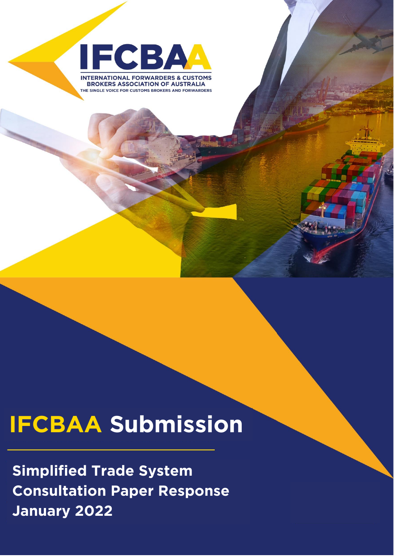

**BROKERS ASSOCIATION OF AUSTRALIA** THE SINGLE VOICE FOR CUSTOMS BROKERS AND FORWARDERS

International Forwarders &

Customs Brokers Association of the Brokers Association of the Brokers Association of the Brokers Association of

Australia Ltd.

# **IFCBAA Submission**

**Simplified Trade System**  Lanuary 2022 **January 2022**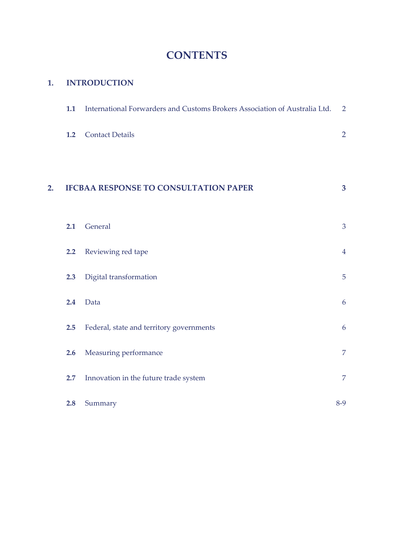## **CONTENTS**

#### **1. INTRODUCTION**

|    | 1.1 | International Forwarders and Customs Brokers Association of Australia Ltd. | $\overline{2}$          |
|----|-----|----------------------------------------------------------------------------|-------------------------|
|    | 1.2 | <b>Contact Details</b>                                                     | $\overline{2}$          |
| 2. |     | <b>IFCBAA RESPONSE TO CONSULTATION PAPER</b>                               | $\overline{\mathbf{3}}$ |
|    | 2.1 | General                                                                    | 3                       |
|    | 2.2 | Reviewing red tape                                                         | $\overline{4}$          |
|    | 2.3 | Digital transformation                                                     | $\overline{5}$          |
|    | 2.4 | Data                                                                       | 6                       |
|    | 2.5 | Federal, state and territory governments                                   | 6                       |
|    | 2.6 | Measuring performance                                                      | $\overline{7}$          |
|    | 2.7 | Innovation in the future trade system                                      | $\overline{7}$          |
|    | 2.8 | Summary                                                                    | $8-9$                   |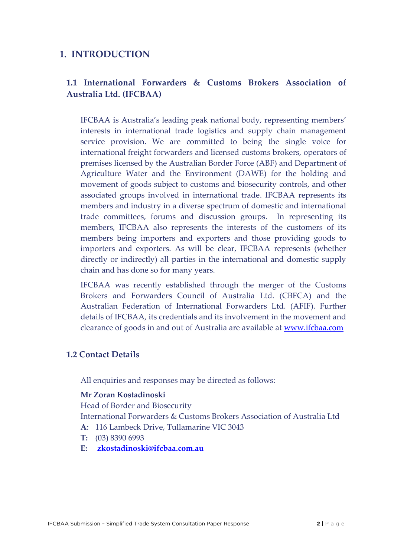#### **1. INTRODUCTION**

#### **1.1 International Forwarders & Customs Brokers Association of Australia Ltd. (IFCBAA)**

IFCBAA is Australia's leading peak national body, representing members' interests in international trade logistics and supply chain management service provision. We are committed to being the single voice for international freight forwarders and licensed customs brokers, operators of premises licensed by the Australian Border Force (ABF) and Department of Agriculture Water and the Environment (DAWE) for the holding and movement of goods subject to customs and biosecurity controls, and other associated groups involved in international trade. IFCBAA represents its members and industry in a diverse spectrum of domestic and international trade committees, forums and discussion groups. In representing its members, IFCBAA also represents the interests of the customers of its members being importers and exporters and those providing goods to importers and exporters. As will be clear, IFCBAA represents (whether directly or indirectly) all parties in the international and domestic supply chain and has done so for many years.

IFCBAA was recently established through the merger of the Customs Brokers and Forwarders Council of Australia Ltd. (CBFCA) and the Australian Federation of International Forwarders Ltd. (AFIF). Further details of IFCBAA, its credentials and its involvement in the movement and clearance of goods in and out of Australia are available at [www.ifcbaa.com](http://www.ifcbaa.com/)

#### **1.2 Contact Details**

All enquiries and responses may be directed as follows:

#### **Mr Zoran Kostadinoski**

Head of Border and Biosecurity

International Forwarders & Customs Brokers Association of Australia Ltd **A**: 116 Lambeck Drive, Tullamarine VIC 3043

- **T:** (03) 8390 6993
- **E: [zkostadinoski@ifcbaa.com.au](mailto:zkostadinoski@ifcbaa.com.au)**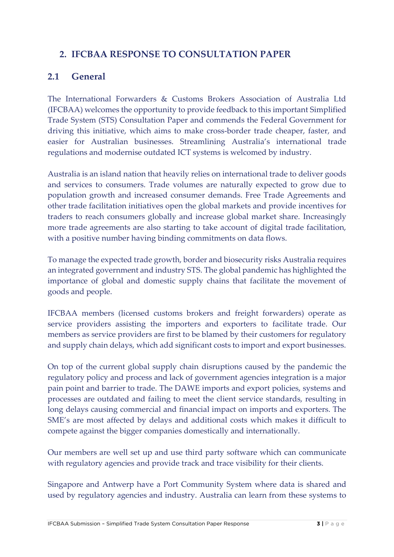## **2. IFCBAA RESPONSE TO CONSULTATION PAPER**

#### **2.1 General**

The International Forwarders & Customs Brokers Association of Australia Ltd (IFCBAA) welcomes the opportunity to provide feedback to this important Simplified Trade System (STS) Consultation Paper and commends the Federal Government for driving this initiative, which aims to make cross-border trade cheaper, faster, and easier for Australian businesses. Streamlining Australia's international trade regulations and modernise outdated ICT systems is welcomed by industry.

Australia is an island nation that heavily relies on international trade to deliver goods and services to consumers. Trade volumes are naturally expected to grow due to population growth and increased consumer demands. Free Trade Agreements and other trade facilitation initiatives open the global markets and provide incentives for traders to reach consumers globally and increase global market share. Increasingly more trade agreements are also starting to take account of digital trade facilitation, with a positive number having binding commitments on data flows.

To manage the expected trade growth, border and biosecurity risks Australia requires an integrated government and industry STS. The global pandemic has highlighted the importance of global and domestic supply chains that facilitate the movement of goods and people.

IFCBAA members (licensed customs brokers and freight forwarders) operate as service providers assisting the importers and exporters to facilitate trade. Our members as service providers are first to be blamed by their customers for regulatory and supply chain delays, which add significant costs to import and export businesses.

On top of the current global supply chain disruptions caused by the pandemic the regulatory policy and process and lack of government agencies integration is a major pain point and barrier to trade. The DAWE imports and export policies, systems and processes are outdated and failing to meet the client service standards, resulting in long delays causing commercial and financial impact on imports and exporters. The SME's are most affected by delays and additional costs which makes it difficult to compete against the bigger companies domestically and internationally.

Our members are well set up and use third party software which can communicate with regulatory agencies and provide track and trace visibility for their clients.

Singapore and Antwerp have a Port Community System where data is shared and used by regulatory agencies and industry. Australia can learn from these systems to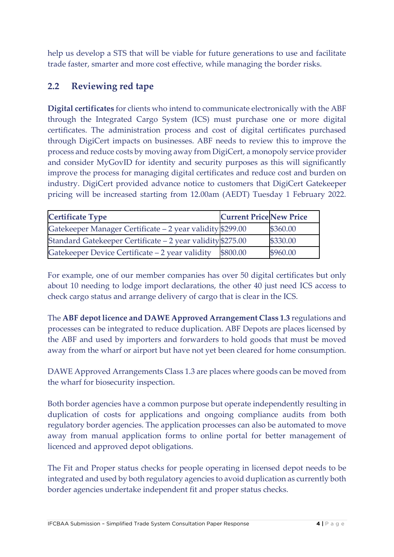help us develop a STS that will be viable for future generations to use and facilitate trade faster, smarter and more cost effective, while managing the border risks.

## **2.2 Reviewing red tape**

**Digital certificates** for clients who intend to communicate electronically with the ABF through the Integrated Cargo System (ICS) must purchase one or more digital certificates. The administration process and cost of digital certificates purchased through DigiCert impacts on businesses. ABF needs to review this to improve the process and reduce costs by moving away from DigiCert, a monopoly service provider and consider MyGovID for identity and security purposes as this will significantly improve the process for managing digital certificates and reduce cost and burden on industry. DigiCert provided advance notice to customers that DigiCert Gatekeeper pricing will be increased starting from 12.00am (AEDT) Tuesday 1 February 2022.

| <b>Certificate Type</b>                                    | <b>Current Price New Price</b> |          |
|------------------------------------------------------------|--------------------------------|----------|
| Gatekeeper Manager Certificate - 2 year validity \$299.00  |                                | \$360.00 |
| Standard Gatekeeper Certificate - 2 year validity \$275.00 |                                | \$330.00 |
| Gatekeeper Device Certificate - 2 year validity            | \$800.00                       | \$960.00 |

For example, one of our member companies has over 50 digital certificates but only about 10 needing to lodge import declarations, the other 40 just need ICS access to check cargo status and arrange delivery of cargo that is clear in the ICS.

The **ABF depot licence and DAWE Approved Arrangement Class 1.3** regulations and processes can be integrated to reduce duplication. ABF Depots are places licensed by the ABF and used by importers and forwarders to hold goods that must be moved away from the wharf or airport but have not yet been cleared for home consumption.

DAWE Approved Arrangements Class 1.3 are places where goods can be moved from the wharf for biosecurity inspection.

Both border agencies have a common purpose but operate independently resulting in duplication of costs for applications and ongoing compliance audits from both regulatory border agencies. The application processes can also be automated to move away from manual application forms to online portal for better management of licenced and approved depot obligations.

The Fit and Proper status checks for people operating in licensed depot needs to be integrated and used by both regulatory agencies to avoid duplication as currently both border agencies undertake independent fit and proper status checks.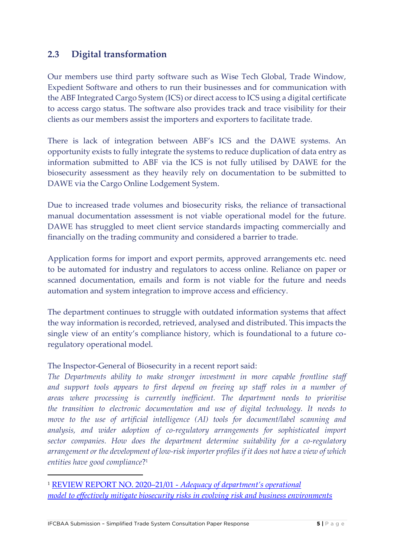### **2.3 Digital transformation**

Our members use third party software such as Wise Tech Global, Trade Window, Expedient Software and others to run their businesses and for communication with the ABF Integrated Cargo System (ICS) or direct access to ICS using a digital certificate to access cargo status. The software also provides track and trace visibility for their clients as our members assist the importers and exporters to facilitate trade.

There is lack of integration between ABF's ICS and the DAWE systems. An opportunity exists to fully integrate the systems to reduce duplication of data entry as information submitted to ABF via the ICS is not fully utilised by DAWE for the biosecurity assessment as they heavily rely on documentation to be submitted to DAWE via the Cargo Online Lodgement System.

Due to increased trade volumes and biosecurity risks, the reliance of transactional manual documentation assessment is not viable operational model for the future. DAWE has struggled to meet client service standards impacting commercially and financially on the trading community and considered a barrier to trade.

Application forms for import and export permits, approved arrangements etc. need to be automated for industry and regulators to access online. Reliance on paper or scanned documentation, emails and form is not viable for the future and needs automation and system integration to improve access and efficiency.

The department continues to struggle with outdated information systems that affect the way information is recorded, retrieved, analysed and distributed. This impacts the single view of an entity's compliance history, which is foundational to a future coregulatory operational model.

#### The Inspector-General of Biosecurity in a recent report said:

*The Departments ability to make stronger investment in more capable frontline staff and support tools appears to first depend on freeing up staff roles in a number of areas where processing is currently inefficient. The department needs to prioritise the transition to electronic documentation and use of digital technology. It needs to move to the use of artificial intelligence (AI) tools for document/label scanning and analysis, and wider adoption of co-regulatory arrangements for sophisticated import sector companies. How does the department determine suitability for a co-regulatory arrangement or the development of low-risk importer profiles if it does not have a view of which entities have good compliance*? 1

<sup>1</sup> REVIEW REPORT NO. 2020–21/01 - *[Adequacy of department's operational](https://www.igb.gov.au/sites/default/files/documents/operational-model-biosecurity-risks_0.pdf) [model to effectively mitigate biosecurity risks in evolving risk and business environments](https://www.igb.gov.au/sites/default/files/documents/operational-model-biosecurity-risks_0.pdf)*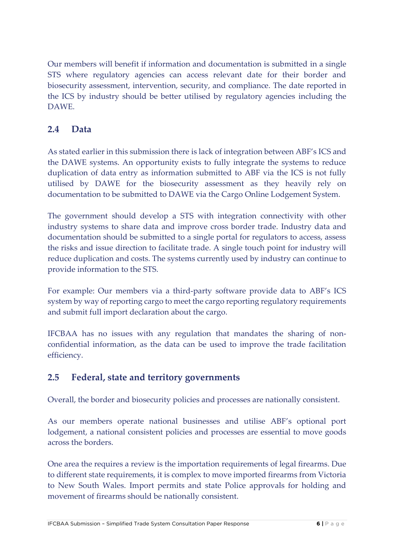Our members will benefit if information and documentation is submitted in a single STS where regulatory agencies can access relevant date for their border and biosecurity assessment, intervention, security, and compliance. The date reported in the ICS by industry should be better utilised by regulatory agencies including the DAWE.

## **2.4 Data**

As stated earlier in this submission there is lack of integration between ABF's ICS and the DAWE systems. An opportunity exists to fully integrate the systems to reduce duplication of data entry as information submitted to ABF via the ICS is not fully utilised by DAWE for the biosecurity assessment as they heavily rely on documentation to be submitted to DAWE via the Cargo Online Lodgement System.

The government should develop a STS with integration connectivity with other industry systems to share data and improve cross border trade. Industry data and documentation should be submitted to a single portal for regulators to access, assess the risks and issue direction to facilitate trade. A single touch point for industry will reduce duplication and costs. The systems currently used by industry can continue to provide information to the STS.

For example: Our members via a third-party software provide data to ABF's ICS system by way of reporting cargo to meet the cargo reporting regulatory requirements and submit full import declaration about the cargo.

IFCBAA has no issues with any regulation that mandates the sharing of nonconfidential information, as the data can be used to improve the trade facilitation efficiency.

### **2.5 Federal, state and territory governments**

Overall, the border and biosecurity policies and processes are nationally consistent.

As our members operate national businesses and utilise ABF's optional port lodgement, a national consistent policies and processes are essential to move goods across the borders.

One area the requires a review is the importation requirements of legal firearms. Due to different state requirements, it is complex to move imported firearms from Victoria to New South Wales. Import permits and state Police approvals for holding and movement of firearms should be nationally consistent.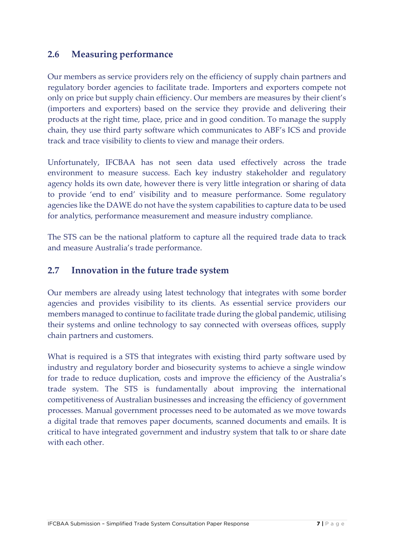#### **2.6 Measuring performance**

Our members as service providers rely on the efficiency of supply chain partners and regulatory border agencies to facilitate trade. Importers and exporters compete not only on price but supply chain efficiency. Our members are measures by their client's (importers and exporters) based on the service they provide and delivering their products at the right time, place, price and in good condition. To manage the supply chain, they use third party software which communicates to ABF's ICS and provide track and trace visibility to clients to view and manage their orders.

Unfortunately, IFCBAA has not seen data used effectively across the trade environment to measure success. Each key industry stakeholder and regulatory agency holds its own date, however there is very little integration or sharing of data to provide 'end to end' visibility and to measure performance. Some regulatory agencies like the DAWE do not have the system capabilities to capture data to be used for analytics, performance measurement and measure industry compliance.

The STS can be the national platform to capture all the required trade data to track and measure Australia's trade performance.

#### **2.7 Innovation in the future trade system**

Our members are already using latest technology that integrates with some border agencies and provides visibility to its clients. As essential service providers our members managed to continue to facilitate trade during the global pandemic, utilising their systems and online technology to say connected with overseas offices, supply chain partners and customers.

What is required is a STS that integrates with existing third party software used by industry and regulatory border and biosecurity systems to achieve a single window for trade to reduce duplication, costs and improve the efficiency of the Australia's trade system. The STS is fundamentally about improving the international competitiveness of Australian businesses and increasing the efficiency of government processes. Manual government processes need to be automated as we move towards a digital trade that removes paper documents, scanned documents and emails. It is critical to have integrated government and industry system that talk to or share date with each other.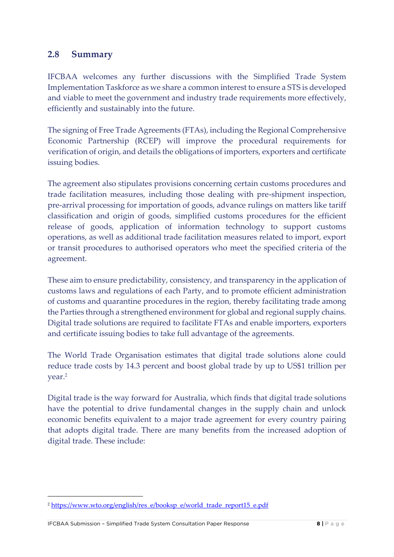#### **2.8 Summary**

IFCBAA welcomes any further discussions with the Simplified Trade System Implementation Taskforce as we share a common interest to ensure a STS is developed and viable to meet the government and industry trade requirements more effectively, efficiently and sustainably into the future.

The signing of Free Trade Agreements (FTAs), including the Regional Comprehensive Economic Partnership (RCEP) will improve the procedural requirements for verification of origin, and details the obligations of importers, exporters and certificate issuing bodies.

The agreement also stipulates provisions concerning certain customs procedures and trade facilitation measures, including those dealing with pre-shipment inspection, pre-arrival processing for importation of goods, advance rulings on matters like tariff classification and origin of goods, simplified customs procedures for the efficient release of goods, application of information technology to support customs operations, as well as additional trade facilitation measures related to import, export or transit procedures to authorised operators who meet the specified criteria of the agreement.

These aim to ensure predictability, consistency, and transparency in the application of customs laws and regulations of each Party, and to promote efficient administration of customs and quarantine procedures in the region, thereby facilitating trade among the Parties through a strengthened environment for global and regional supply chains. Digital trade solutions are required to facilitate FTAs and enable importers, exporters and certificate issuing bodies to take full advantage of the agreements.

The World Trade Organisation estimates that digital trade solutions alone could reduce trade costs by 14.3 percent and boost global trade by up to US\$1 trillion per year.<sup>2</sup>

Digital trade is the way forward for Australia, which finds that digital trade solutions have the potential to drive fundamental changes in the supply chain and unlock economic benefits equivalent to a major trade agreement for every country pairing that adopts digital trade. There are many benefits from the increased adoption of digital trade. These include:

<sup>&</sup>lt;sup>2</sup> [https://www.wto.org/english/res\\_e/booksp\\_e/world\\_trade\\_report15\\_e.pdf](https://www.wto.org/english/res_e/booksp_e/world_trade_report15_e.pdf)